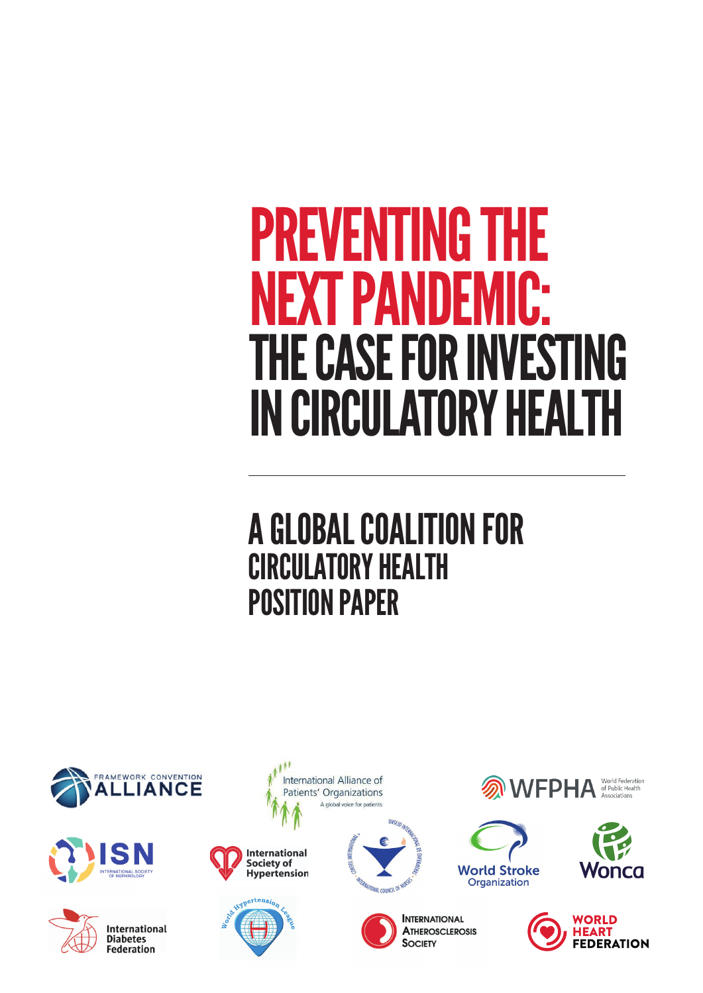# PREVENTING THE<br>NEXT PANDEMIC **T PANDE** THE CASE FOR INVESTING IN CIRCULATORY HEALTH

# A GLOBAL COALITION FOR CIRCULATORY HEALTH POSITION PAPER







International **Diabetes Federation** 







ONSEIO IN **MITERNATIONAL COUNCIL OF NURS** 



**INTERNATIONAL ATHEROSCLEROSIS SOCIETY** 



**World Stroke** 

Organization



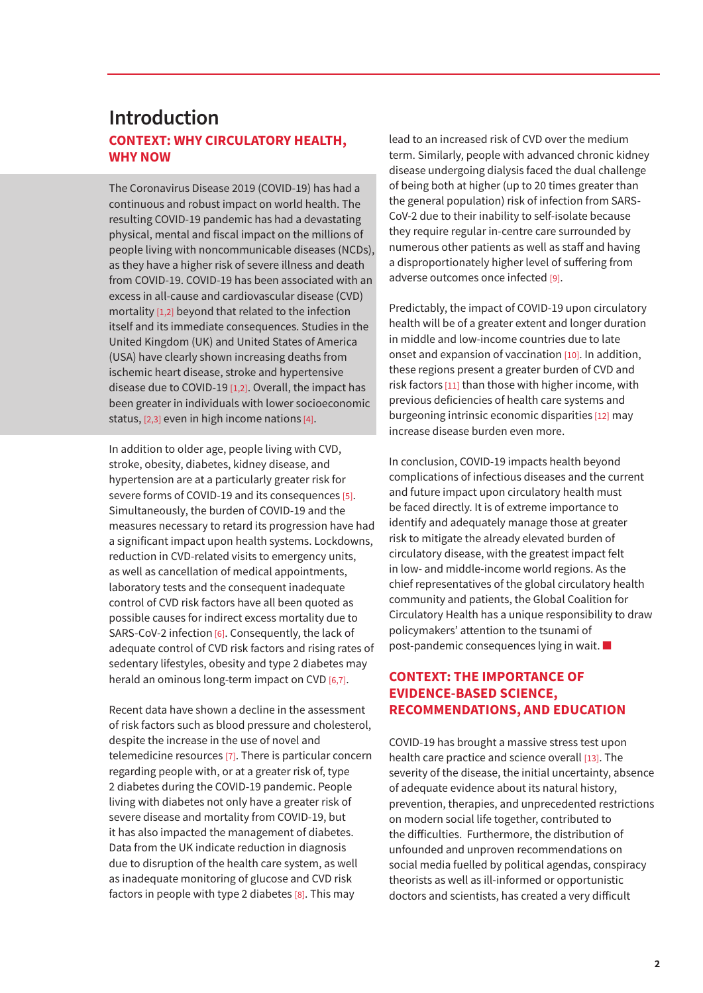### **CONTEXT: WHY CIRCULATORY HEALTH, WHY NOW Introduction**

The Coronavirus Disease 2019 (COVID-19) has had a continuous and robust impact on world health. The resulting COVID-19 pandemic has had a devastating physical, mental and fiscal impact on the millions of people living with noncommunicable diseases (NCDs), as they have a higher risk of severe illness and death from COVID-19. COVID-19 has been associated with an excess in all-cause and cardiovascular disease (CVD) mortality [1,2] beyond that related to the infection itself and its immediate consequences. Studies in the United Kingdom (UK) and United States of America (USA) have clearly shown increasing deaths from ischemic heart disease, stroke and hypertensive disease due to COVID-19 [1,2]. Overall, the impact has been greater in individuals with lower socioeconomic status, [2,3] even in high income nations [4].

In addition to older age, people living with CVD, stroke, obesity, diabetes, kidney disease, and hypertension are at a particularly greater risk for severe forms of COVID-19 and its consequences [5]. Simultaneously, the burden of COVID-19 and the measures necessary to retard its progression have had a significant impact upon health systems. Lockdowns, reduction in CVD-related visits to emergency units, as well as cancellation of medical appointments, laboratory tests and the consequent inadequate control of CVD risk factors have all been quoted as possible causes for indirect excess mortality due to SARS-CoV-2 infection [6]. Consequently, the lack of adequate control of CVD risk factors and rising rates of sedentary lifestyles, obesity and type 2 diabetes may herald an ominous long-term impact on CVD [6,7].

Recent data have shown a decline in the assessment of risk factors such as blood pressure and cholesterol, despite the increase in the use of novel and telemedicine resources [7]. There is particular concern regarding people with, or at a greater risk of, type 2 diabetes during the COVID-19 pandemic. People living with diabetes not only have a greater risk of severe disease and mortality from COVID-19, but it has also impacted the management of diabetes. Data from the UK indicate reduction in diagnosis due to disruption of the health care system, as well as inadequate monitoring of glucose and CVD risk factors in people with type 2 diabetes [8]. This may

lead to an increased risk of CVD over the medium term. Similarly, people with advanced chronic kidney disease undergoing dialysis faced the dual challenge of being both at higher (up to 20 times greater than the general population) risk of infection from SARS-CoV-2 due to their inability to self-isolate because they require regular in-centre care surrounded by numerous other patients as well as staff and having a disproportionately higher level of suffering from adverse outcomes once infected [9].

Predictably, the impact of COVID-19 upon circulatory health will be of a greater extent and longer duration in middle and low-income countries due to late onset and expansion of vaccination [10]. In addition, these regions present a greater burden of CVD and risk factors [11] than those with higher income, with previous deficiencies of health care systems and burgeoning intrinsic economic disparities [12] may increase disease burden even more.

In conclusion, COVID-19 impacts health beyond complications of infectious diseases and the current and future impact upon circulatory health must be faced directly. It is of extreme importance to identify and adequately manage those at greater risk to mitigate the already elevated burden of circulatory disease, with the greatest impact felt in low- and middle-income world regions. As the chief representatives of the global circulatory health community and patients, the Global Coalition for Circulatory Health has a unique responsibility to draw policymakers' attention to the tsunami of post-pandemic consequences lying in wait. ■

#### **CONTEXT: THE IMPORTANCE OF EVIDENCE-BASED SCIENCE, RECOMMENDATIONS, AND EDUCATION**

COVID-19 has brought a massive stress test upon health care practice and science overall [13]. The severity of the disease, the initial uncertainty, absence of adequate evidence about its natural history, prevention, therapies, and unprecedented restrictions on modern social life together, contributed to the difficulties. Furthermore, the distribution of unfounded and unproven recommendations on social media fuelled by political agendas, conspiracy theorists as well as ill-informed or opportunistic doctors and scientists, has created a very difficult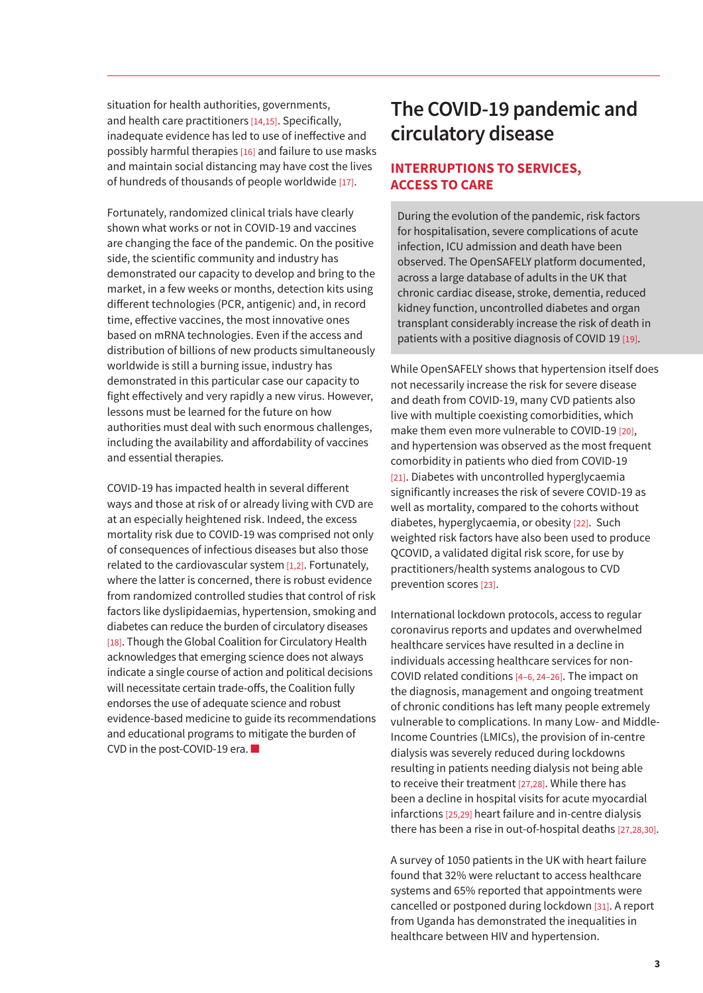situation for health authorities, governments, and health care practitioners [14,15]. Specifically, inadequate evidence has led to use of ineffective and possibly harmful therapies [16] and failure to use masks and maintain social distancing may have cost the lives of hundreds of thousands of people worldwide  $[17]$ .

Fortunately, randomized clinical trials have clearly shown what works or not in COVID-19 and vaccines are changing the face of the pandemic. On the positive side, the scientific community and industry has demonstrated our capacity to develop and bring to the market, in a few weeks or months, detection kits using different technologies (PCR, antigenic) and, in record time, effective vaccines, the most innovative ones based on mRNA technologies. Even if the access and distribution of billions of new products simultaneously worldwide is still a burning issue, industry has demonstrated in this particular case our capacity to fight effectively and very rapidly a new virus. However, lessons must be learned for the future on how authorities must deal with such enormous challenges, including the availability and affordability of vaccines and essential therapies.

COVID-19 has impacted health in several different ways and those at risk of or already living with CVD are at an especially heightened risk. Indeed, the excess mortality risk due to COVID-19 was comprised not only of consequences of infectious diseases but also those related to the cardiovascular system [1,2]. Fortunately, where the latter is concerned, there is robust evidence from randomized controlled studies that control of risk factors like dyslipidaemias, hypertension, smoking and diabetes can reduce the burden of circulatory diseases [18]. Though the Global Coalition for Circulatory Health acknowledges that emerging science does not always indicate a single course of action and political decisions will necessitate certain trade-offs, the Coalition fully endorses the use of adequate science and robust evidence-based medicine to guide its recommendations and educational programs to mitigate the burden of CVD in the post-COVID-19 era. ■

# **The COVID-19 pandemic and circulatory disease**

#### **INTERRUPTIONS TO SERVICES, ACCESS TO CARE**

During the evolution of the pandemic, risk factors for hospitalisation, severe complications of acute infection, ICU admission and death have been observed. The OpenSAFELY platform documented, across a large database of adults in the UK that chronic cardiac disease, stroke, dementia, reduced kidney function, uncontrolled diabetes and organ transplant considerably increase the risk of death in patients with a positive diagnosis of COVID 19 [19].

While OpenSAFELY shows that hypertension itself does not necessarily increase the risk for severe disease and death from COVID-19, many CVD patients also live with multiple coexisting comorbidities, which make them even more vulnerable to COVID-19 [20], and hypertension was observed as the most frequent comorbidity in patients who died from COVID-19 [21]. Diabetes with uncontrolled hyperglycaemia significantly increases the risk of severe COVID-19 as well as mortality, compared to the cohorts without diabetes, hyperglycaemia, or obesity [22]. Such weighted risk factors have also been used to produce QCOVID, a validated digital risk score, for use by practitioners/health systems analogous to CVD prevention scores [23].

International lockdown protocols, access to regular coronavirus reports and updates and overwhelmed healthcare services have resulted in a decline in individuals accessing healthcare services for non-COVID related conditions [4–6, 24–26]. The impact on the diagnosis, management and ongoing treatment of chronic conditions has left many people extremely vulnerable to complications. In many Low- and Middle-Income Countries (LMICs), the provision of in-centre dialysis was severely reduced during lockdowns resulting in patients needing dialysis not being able to receive their treatment [27,28]. While there has been a decline in hospital visits for acute myocardial infarctions [25,29] heart failure and in-centre dialysis there has been a rise in out-of-hospital deaths [27,28,30].

A survey of 1050 patients in the UK with heart failure found that 32% were reluctant to access healthcare systems and 65% reported that appointments were cancelled or postponed during lockdown [31]. A report from Uganda has demonstrated the inequalities in healthcare between HIV and hypertension.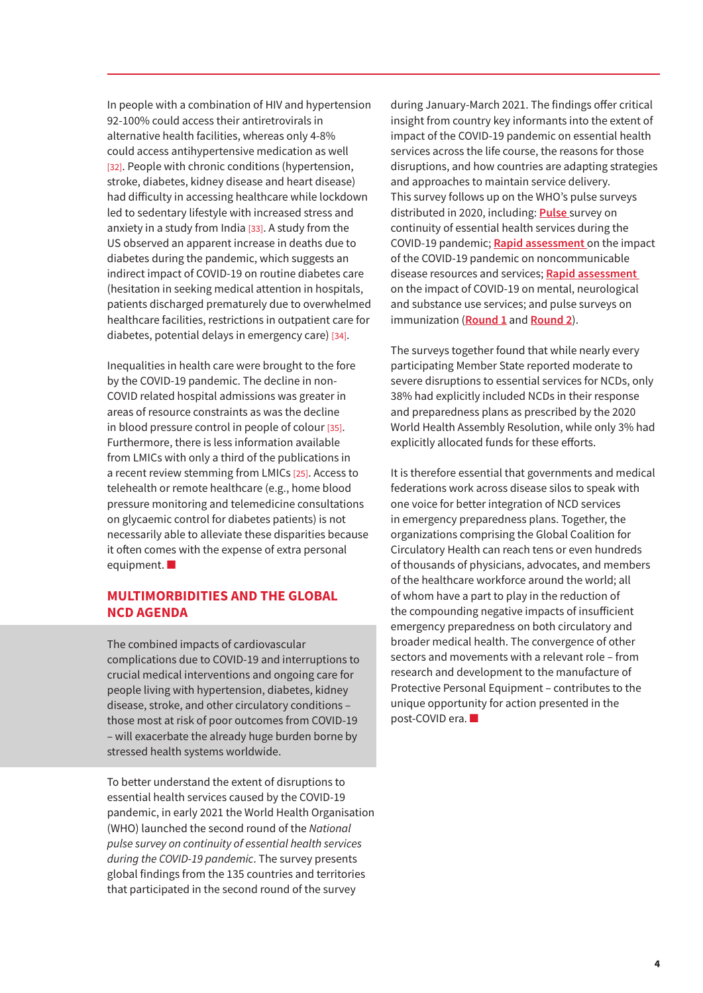In people with a combination of HIV and hypertension 92-100% could access their antiretrovirals in alternative health facilities, whereas only 4-8% could access antihypertensive medication as well [32]. People with chronic conditions (hypertension, stroke, diabetes, kidney disease and heart disease) had difficulty in accessing healthcare while lockdown led to sedentary lifestyle with increased stress and anxiety in a study from India [33]. A study from the US observed an apparent increase in deaths due to diabetes during the pandemic, which suggests an indirect impact of COVID-19 on routine diabetes care (hesitation in seeking medical attention in hospitals, patients discharged prematurely due to overwhelmed healthcare facilities, restrictions in outpatient care for diabetes, potential delays in emergency care) [34].

Inequalities in health care were brought to the fore by the COVID-19 pandemic. The decline in non-COVID related hospital admissions was greater in areas of resource constraints as was the decline in blood pressure control in people of colour [35]. Furthermore, there is less information available from LMICs with only a third of the publications in a recent review stemming from LMICs [25]. Access to telehealth or remote healthcare (e.g., home blood pressure monitoring and telemedicine consultations on glycaemic control for diabetes patients) is not necessarily able to alleviate these disparities because it often comes with the expense of extra personal equipment.

#### **MULTIMORBIDITIES AND THE GLOBAL NCD AGENDA**

The combined impacts of cardiovascular complications due to COVID-19 and interruptions to crucial medical interventions and ongoing care for people living with hypertension, diabetes, kidney disease, stroke, and other circulatory conditions – those most at risk of poor outcomes from COVID-19 – will exacerbate the already huge burden borne by stressed health systems worldwide.

To better understand the extent of disruptions to essential health services caused by the COVID-19 pandemic, in early 2021 the World Health Organisation (WHO) launched the second round of the *National pulse survey on continuity of essential health services during the COVID-19 pandemic*. The survey presents global findings from the 135 countries and territories that participated in the second round of the survey

during January-March 2021. The findings offer critical insight from country key informants into the extent of impact of the COVID-19 pandemic on essential health services across the life course, the reasons for those disruptions, and how countries are adapting strategies and approaches to maintain service delivery. This survey follows up on the WHO's pulse surveys distributed in 2020, including: **Pulse** [survey on](https://www.who.int/publications/i/item/WHO-2019-nCoV-EHS_continuity-survey-2020.1)  [continuity of essential health services during the](https://www.who.int/publications/i/item/WHO-2019-nCoV-EHS_continuity-survey-2020.1)  [COVID-19 pandemic;](https://www.who.int/publications/i/item/WHO-2019-nCoV-EHS_continuity-survey-2020.1) **[Rapid assessment](https://www.who.int/publications/i/item/9789240010291)** on the impact [of the COVID-19 pandemic on noncommunicable](https://www.who.int/publications/i/item/9789240010291)  [disease resources and services;](https://www.who.int/publications/i/item/9789240010291) **[Rapid assessment](https://www.who.int/publications/i/item/978924012455)**  [on the impact of COVID-19 on mental, neurological](https://www.who.int/publications/i/item/978924012455)  [and substance use services;](https://www.who.int/publications/i/item/978924012455) and pulse surveys on immunization (**[Round 1](https://www.who.int/immunization/GIN_March-April_2020.pdf?ua=1)** and **[Round 2](https://www.who.int/immunization/GIN_June_2020.pdf?ua=1)**).

The surveys together found that while nearly every participating Member State reported moderate to severe disruptions to essential services for NCDs, only 38% had explicitly included NCDs in their response and preparedness plans as prescribed by the 2020 World Health Assembly Resolution, while only 3% had explicitly allocated funds for these efforts.

It is therefore essential that governments and medical federations work across disease silos to speak with one voice for better integration of NCD services in emergency preparedness plans. Together, the organizations comprising the Global Coalition for Circulatory Health can reach tens or even hundreds of thousands of physicians, advocates, and members of the healthcare workforce around the world; all of whom have a part to play in the reduction of the compounding negative impacts of insufficient emergency preparedness on both circulatory and broader medical health. The convergence of other sectors and movements with a relevant role – from research and development to the manufacture of Protective Personal Equipment – contributes to the unique opportunity for action presented in the post-COVID era. ■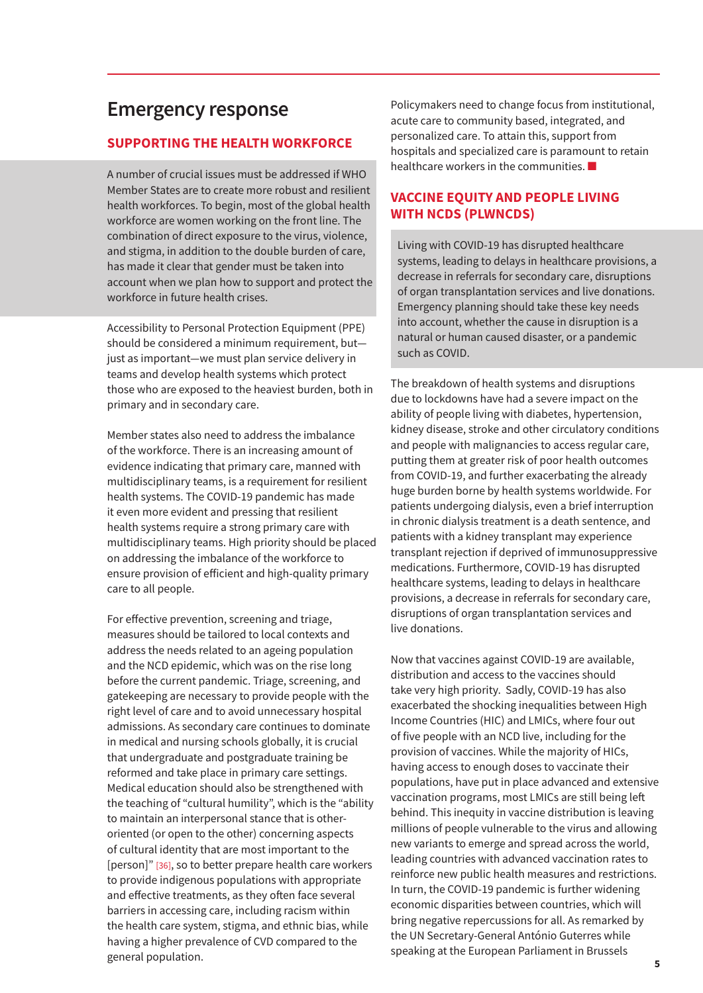# **Emergency response**

#### **SUPPORTING THE HEALTH WORKFORCE**

A number of crucial issues must be addressed if WHO Member States are to create more robust and resilient health workforces. To begin, most of the global health workforce are women working on the front line. The combination of direct exposure to the virus, violence, and stigma, in addition to the double burden of care, has made it clear that gender must be taken into account when we plan how to support and protect the workforce in future health crises.

Accessibility to Personal Protection Equipment (PPE) should be considered a minimum requirement, but just as important—we must plan service delivery in teams and develop health systems which protect those who are exposed to the heaviest burden, both in primary and in secondary care.

Member states also need to address the imbalance of the workforce. There is an increasing amount of evidence indicating that primary care, manned with multidisciplinary teams, is a requirement for resilient health systems. The COVID-19 pandemic has made it even more evident and pressing that resilient health systems require a strong primary care with multidisciplinary teams. High priority should be placed on addressing the imbalance of the workforce to ensure provision of efficient and high-quality primary care to all people.

For effective prevention, screening and triage, measures should be tailored to local contexts and address the needs related to an ageing population and the NCD epidemic, which was on the rise long before the current pandemic. Triage, screening, and gatekeeping are necessary to provide people with the right level of care and to avoid unnecessary hospital admissions. As secondary care continues to dominate in medical and nursing schools globally, it is crucial that undergraduate and postgraduate training be reformed and take place in primary care settings. Medical education should also be strengthened with the teaching of "cultural humility", which is the "ability to maintain an interpersonal stance that is otheroriented (or open to the other) concerning aspects of cultural identity that are most important to the [person]" [36], so to better prepare health care workers to provide indigenous populations with appropriate and effective treatments, as they often face several barriers in accessing care, including racism within the health care system, stigma, and ethnic bias, while having a higher prevalence of CVD compared to the general population.

Policymakers need to change focus from institutional, acute care to community based, integrated, and personalized care. To attain this, support from hospitals and specialized care is paramount to retain healthcare workers in the communities. ■

#### **VACCINE EQUITY AND PEOPLE LIVING WITH NCDS (PLWNCDS)**

Living with COVID-19 has disrupted healthcare systems, leading to delays in healthcare provisions, a decrease in referrals for secondary care, disruptions of organ transplantation services and live donations. Emergency planning should take these key needs into account, whether the cause in disruption is a natural or human caused disaster, or a pandemic such as COVID.

The breakdown of health systems and disruptions due to lockdowns have had a severe impact on the ability of people living with diabetes, hypertension, kidney disease, stroke and other circulatory conditions and people with malignancies to access regular care, putting them at greater risk of poor health outcomes from COVID-19, and further exacerbating the already huge burden borne by health systems worldwide. For patients undergoing dialysis, even a brief interruption in chronic dialysis treatment is a death sentence, and patients with a kidney transplant may experience transplant rejection if deprived of immunosuppressive medications. Furthermore, COVID-19 has disrupted healthcare systems, leading to delays in healthcare provisions, a decrease in referrals for secondary care, disruptions of organ transplantation services and live donations.

Now that vaccines against COVID-19 are available, distribution and access to the vaccines should take very high priority. Sadly, COVID-19 has also exacerbated the shocking inequalities between High Income Countries (HIC) and LMICs, where four out of five people with an NCD live, including for the provision of vaccines. While the majority of HICs, having access to enough doses to vaccinate their populations, have put in place advanced and extensive vaccination programs, most LMICs are still being left behind. This inequity in vaccine distribution is leaving millions of people vulnerable to the virus and allowing new variants to emerge and spread across the world, leading countries with advanced vaccination rates to reinforce new public health measures and restrictions. In turn, the COVID-19 pandemic is further widening economic disparities between countries, which will bring negative repercussions for all. As remarked by the UN Secretary-General António Guterres while speaking at the European Parliament in Brussels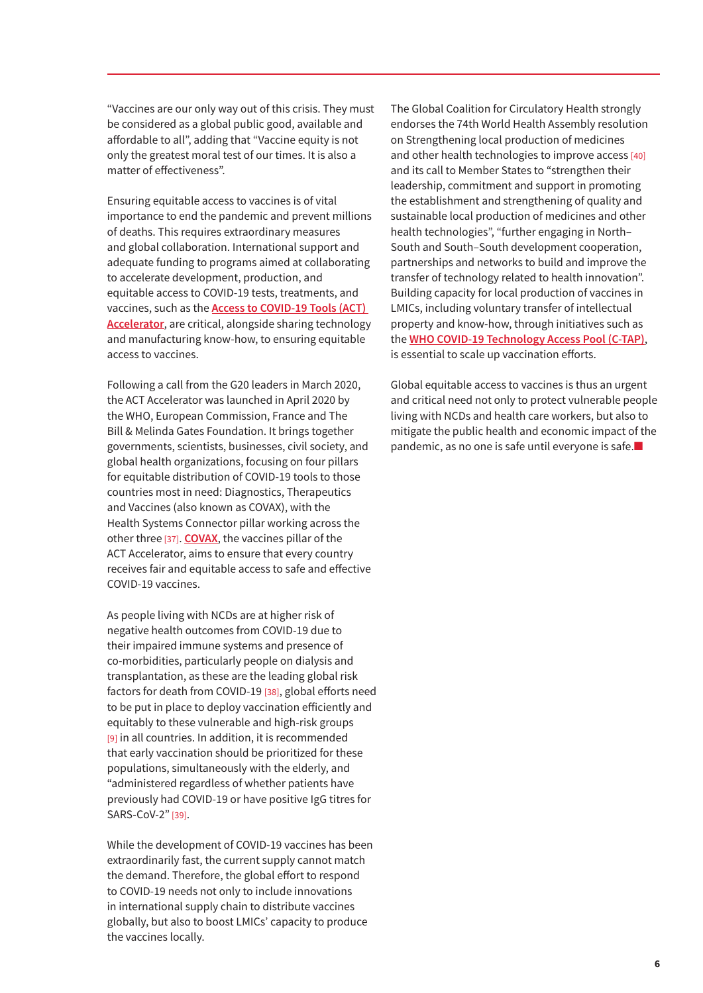"Vaccines are our only way out of this crisis. They must be considered as a global public good, available and affordable to all", adding that "Vaccine equity is not only the greatest moral test of our times. It is also a matter of effectiveness".

Ensuring equitable access to vaccines is of vital importance to end the pandemic and prevent millions of deaths. This requires extraordinary measures and global collaboration. International support and adequate funding to programs aimed at collaborating to accelerate development, production, and equitable access to COVID-19 tests, treatments, and vaccines, such as the **[Access to COVID-19 Tools \(ACT\)](https://www.who.int/initiatives/act-accelerator/about)  [Accelerator](https://www.who.int/initiatives/act-accelerator/about)**, are critical, alongside sharing technology and manufacturing know-how, to ensuring equitable access to vaccines.

Following a call from the G20 leaders in March 2020, the ACT Accelerator was launched in April 2020 by the WHO, European Commission, France and The Bill & Melinda Gates Foundation. It brings together governments, scientists, businesses, civil society, and global health organizations, focusing on four pillars for equitable distribution of COVID-19 tools to those countries most in need: Diagnostics, Therapeutics and Vaccines (also known as COVAX), with the Health Systems Connector pillar working across the other three [37]. **[COVAX](https://www.who.int/initiatives/act-accelerator/covax)**, the vaccines pillar of the ACT Accelerator, aims to ensure that every country receives fair and equitable access to safe and effective COVID-19 vaccines.

As people living with NCDs are at higher risk of negative health outcomes from COVID-19 due to their impaired immune systems and presence of co-morbidities, particularly people on dialysis and transplantation, as these are the leading global risk factors for death from COVID-19 [38], global efforts need to be put in place to deploy vaccination efficiently and equitably to these vulnerable and high-risk groups [9] in all countries. In addition, it is recommended that early vaccination should be prioritized for these populations, simultaneously with the elderly, and "administered regardless of whether patients have previously had COVID-19 or have positive IgG titres for SARS-CoV-2" [39].

While the development of COVID-19 vaccines has been extraordinarily fast, the current supply cannot match the demand. Therefore, the global effort to respond to COVID-19 needs not only to include innovations in international supply chain to distribute vaccines globally, but also to boost LMICs' capacity to produce the vaccines locally.

The Global Coalition for Circulatory Health strongly endorses the 74th World Health Assembly resolution on Strengthening local production of medicines and other health technologies to improve access [40] and its call to Member States to "strengthen their leadership, commitment and support in promoting the establishment and strengthening of quality and sustainable local production of medicines and other health technologies", "further engaging in North– South and South–South development cooperation, partnerships and networks to build and improve the transfer of technology related to health innovation". Building capacity for local production of vaccines in LMICs, including voluntary transfer of intellectual property and know-how, through initiatives such as the **[WHO COVID-19 Technology Access Pool \(C-TAP\)](https://www.who.int/initiatives/covid-19-technology-access-pool)**, is essential to scale up vaccination efforts.

Global equitable access to vaccines is thus an urgent and critical need not only to protect vulnerable people living with NCDs and health care workers, but also to mitigate the public health and economic impact of the pandemic, as no one is safe until everyone is safe.■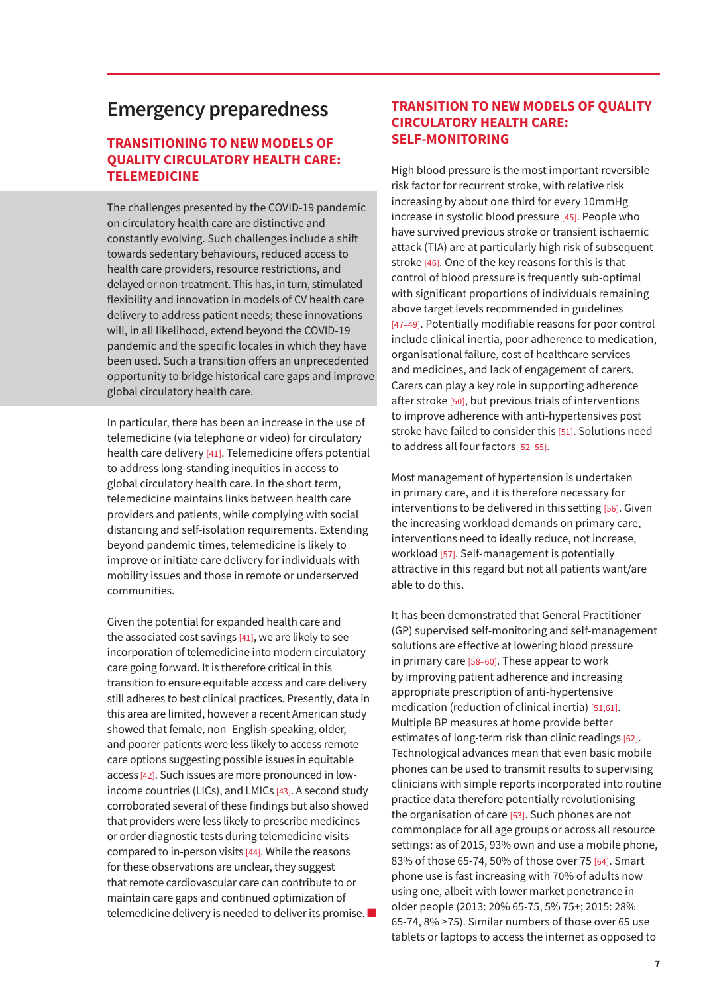## **Emergency preparedness**

#### **TRANSITIONING TO NEW MODELS OF QUALITY CIRCULATORY HEALTH CARE: TELEMEDICINE**

The challenges presented by the COVID-19 pandemic on circulatory health care are distinctive and constantly evolving. Such challenges include a shift towards sedentary behaviours, reduced access to health care providers, resource restrictions, and delayed or non-treatment. This has, in turn, stimulated flexibility and innovation in models of CV health care delivery to address patient needs; these innovations will, in all likelihood, extend beyond the COVID-19 pandemic and the specific locales in which they have been used. Such a transition offers an unprecedented opportunity to bridge historical care gaps and improve global circulatory health care.

In particular, there has been an increase in the use of telemedicine (via telephone or video) for circulatory health care delivery [41]. Telemedicine offers potential to address long-standing inequities in access to global circulatory health care. In the short term, telemedicine maintains links between health care providers and patients, while complying with social distancing and self-isolation requirements. Extending beyond pandemic times, telemedicine is likely to improve or initiate care delivery for individuals with mobility issues and those in remote or underserved communities.

Given the potential for expanded health care and the associated cost savings [41], we are likely to see incorporation of telemedicine into modern circulatory care going forward. It is therefore critical in this transition to ensure equitable access and care delivery still adheres to best clinical practices. Presently, data in this area are limited, however a recent American study showed that female, non–English-speaking, older, and poorer patients were less likely to access remote care options suggesting possible issues in equitable access [42]. Such issues are more pronounced in lowincome countries (LICs), and LMICs [43]. A second study corroborated several of these findings but also showed that providers were less likely to prescribe medicines or order diagnostic tests during telemedicine visits compared to in-person visits [44]. While the reasons for these observations are unclear, they suggest that remote cardiovascular care can contribute to or maintain care gaps and continued optimization of telemedicine delivery is needed to deliver its promise. ■

#### **TRANSITION TO NEW MODELS OF QUALITY CIRCULATORY HEALTH CARE: SELF-MONITORING**

High blood pressure is the most important reversible risk factor for recurrent stroke, with relative risk increasing by about one third for every 10mmHg increase in systolic blood pressure [45]. People who have survived previous stroke or transient ischaemic attack (TIA) are at particularly high risk of subsequent stroke [46]. One of the key reasons for this is that control of blood pressure is frequently sub-optimal with significant proportions of individuals remaining above target levels recommended in guidelines [47–49]. Potentially modifiable reasons for poor control include clinical inertia, poor adherence to medication, organisational failure, cost of healthcare services and medicines, and lack of engagement of carers. Carers can play a key role in supporting adherence after stroke [50], but previous trials of interventions to improve adherence with anti-hypertensives post stroke have failed to consider this [51]. Solutions need to address all four factors [52–55].

Most management of hypertension is undertaken in primary care, and it is therefore necessary for interventions to be delivered in this setting [56]. Given the increasing workload demands on primary care, interventions need to ideally reduce, not increase, workload [57]. Self-management is potentially attractive in this regard but not all patients want/are able to do this.

It has been demonstrated that General Practitioner (GP) supervised self-monitoring and self-management solutions are effective at lowering blood pressure in primary care [58–60]. These appear to work by improving patient adherence and increasing appropriate prescription of anti-hypertensive medication (reduction of clinical inertia) [51,61]. Multiple BP measures at home provide better estimates of long-term risk than clinic readings [62]. Technological advances mean that even basic mobile phones can be used to transmit results to supervising clinicians with simple reports incorporated into routine practice data therefore potentially revolutionising the organisation of care [63]. Such phones are not commonplace for all age groups or across all resource settings: as of 2015, 93% own and use a mobile phone, 83% of those 65-74, 50% of those over 75 [64]. Smart phone use is fast increasing with 70% of adults now using one, albeit with lower market penetrance in older people (2013: 20% 65-75, 5% 75+; 2015: 28% 65-74, 8% >75). Similar numbers of those over 65 use tablets or laptops to access the internet as opposed to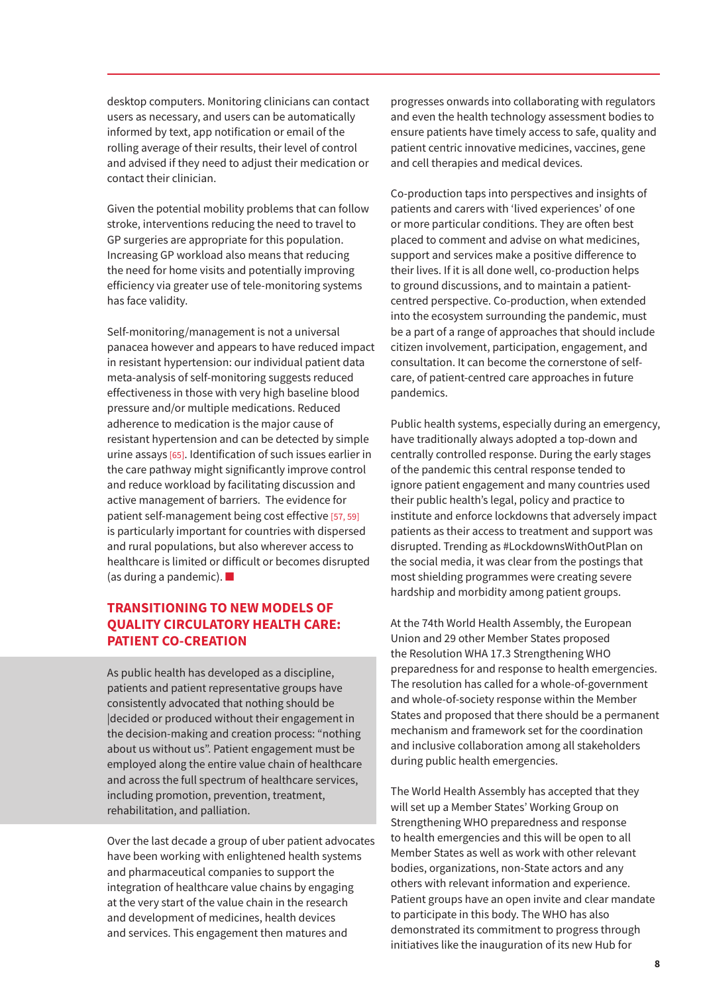desktop computers. Monitoring clinicians can contact users as necessary, and users can be automatically informed by text, app notification or email of the rolling average of their results, their level of control and advised if they need to adjust their medication or contact their clinician.

Given the potential mobility problems that can follow stroke, interventions reducing the need to travel to GP surgeries are appropriate for this population. Increasing GP workload also means that reducing the need for home visits and potentially improving efficiency via greater use of tele-monitoring systems has face validity.

Self-monitoring/management is not a universal panacea however and appears to have reduced impact in resistant hypertension: our individual patient data meta-analysis of self-monitoring suggests reduced effectiveness in those with very high baseline blood pressure and/or multiple medications. Reduced adherence to medication is the major cause of resistant hypertension and can be detected by simple urine assays [65]. Identification of such issues earlier in the care pathway might significantly improve control and reduce workload by facilitating discussion and active management of barriers. The evidence for patient self-management being cost effective [57, 59] is particularly important for countries with dispersed and rural populations, but also wherever access to healthcare is limited or difficult or becomes disrupted (as during a pandemic). ■

#### **TRANSITIONING TO NEW MODELS OF QUALITY CIRCULATORY HEALTH CARE: PATIENT CO-CREATION**

As public health has developed as a discipline, patients and patient representative groups have consistently advocated that nothing should be |decided or produced without their engagement in the decision-making and creation process: "nothing about us without us". Patient engagement must be employed along the entire value chain of healthcare and across the full spectrum of healthcare services, including promotion, prevention, treatment, rehabilitation, and palliation.

Over the last decade a group of uber patient advocates have been working with enlightened health systems and pharmaceutical companies to support the integration of healthcare value chains by engaging at the very start of the value chain in the research and development of medicines, health devices and services. This engagement then matures and

progresses onwards into collaborating with regulators and even the health technology assessment bodies to ensure patients have timely access to safe, quality and patient centric innovative medicines, vaccines, gene and cell therapies and medical devices.

Co-production taps into perspectives and insights of patients and carers with 'lived experiences' of one or more particular conditions. They are often best placed to comment and advise on what medicines, support and services make a positive difference to their lives. If it is all done well, co-production helps to ground discussions, and to maintain a patientcentred perspective. Co-production, when extended into the ecosystem surrounding the pandemic, must be a part of a range of approaches that should include citizen involvement, participation, engagement, and consultation. It can become the cornerstone of selfcare, of patient-centred care approaches in future pandemics.

Public health systems, especially during an emergency, have traditionally always adopted a top-down and centrally controlled response. During the early stages of the pandemic this central response tended to ignore patient engagement and many countries used their public health's legal, policy and practice to institute and enforce lockdowns that adversely impact patients as their access to treatment and support was disrupted. Trending as #LockdownsWithOutPlan on the social media, it was clear from the postings that most shielding programmes were creating severe hardship and morbidity among patient groups.

At the 74th World Health Assembly, the European Union and 29 other Member States proposed the Resolution WHA 17.3 Strengthening WHO preparedness for and response to health emergencies. The resolution has called for a whole-of-government and whole-of-society response within the Member States and proposed that there should be a permanent mechanism and framework set for the coordination and inclusive collaboration among all stakeholders during public health emergencies.

The World Health Assembly has accepted that they will set up a Member States' Working Group on Strengthening WHO preparedness and response to health emergencies and this will be open to all Member States as well as work with other relevant bodies, organizations, non-State actors and any others with relevant information and experience. Patient groups have an open invite and clear mandate to participate in this body. The WHO has also demonstrated its commitment to progress through initiatives like the inauguration of its new Hub for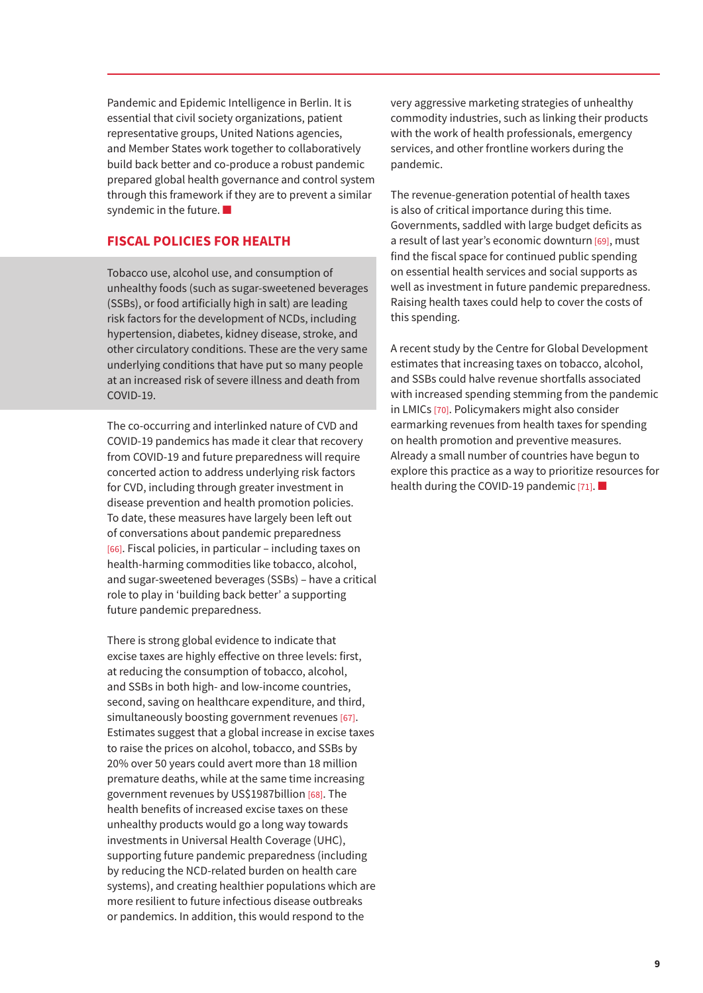Pandemic and Epidemic Intelligence in Berlin. It is essential that civil society organizations, patient representative groups, United Nations agencies, and Member States work together to collaboratively build back better and co-produce a robust pandemic prepared global health governance and control system through this framework if they are to prevent a similar syndemic in the future. ■

#### **FISCAL POLICIES FOR HEALTH**

Tobacco use, alcohol use, and consumption of unhealthy foods (such as sugar-sweetened beverages (SSBs), or food artificially high in salt) are leading risk factors for the development of NCDs, including hypertension, diabetes, kidney disease, stroke, and other circulatory conditions. These are the very same underlying conditions that have put so many people at an increased risk of severe illness and death from COVID-19.

The co-occurring and interlinked nature of CVD and COVID-19 pandemics has made it clear that recovery from COVID-19 and future preparedness will require concerted action to address underlying risk factors for CVD, including through greater investment in disease prevention and health promotion policies. To date, these measures have largely been left out of conversations about pandemic preparedness [66]. Fiscal policies, in particular – including taxes on health-harming commodities like tobacco, alcohol, and sugar-sweetened beverages (SSBs) – have a critical role to play in 'building back better' a supporting future pandemic preparedness.

There is strong global evidence to indicate that excise taxes are highly effective on three levels: first, at reducing the consumption of tobacco, alcohol, and SSBs in both high- and low-income countries, second, saving on healthcare expenditure, and third, simultaneously boosting government revenues [67]. Estimates suggest that a global increase in excise taxes to raise the prices on alcohol, tobacco, and SSBs by 20% over 50 years could avert more than 18 million premature deaths, while at the same time increasing government revenues by US\$1987billion [68]. The health benefits of increased excise taxes on these unhealthy products would go a long way towards investments in Universal Health Coverage (UHC), supporting future pandemic preparedness (including by reducing the NCD-related burden on health care systems), and creating healthier populations which are more resilient to future infectious disease outbreaks or pandemics. In addition, this would respond to the

very aggressive marketing strategies of unhealthy commodity industries, such as linking their products with the work of health professionals, emergency services, and other frontline workers during the pandemic.

The revenue-generation potential of health taxes is also of critical importance during this time. Governments, saddled with large budget deficits as a result of last year's economic downturn [69], must find the fiscal space for continued public spending on essential health services and social supports as well as investment in future pandemic preparedness. Raising health taxes could help to cover the costs of this spending.

A recent study by the Centre for Global Development estimates that increasing taxes on tobacco, alcohol, and SSBs could halve revenue shortfalls associated with increased spending stemming from the pandemic in LMICs [70]. Policymakers might also consider earmarking revenues from health taxes for spending on health promotion and preventive measures. Already a small number of countries have begun to explore this practice as a way to prioritize resources for health during the COVID-19 pandemic [71]. ■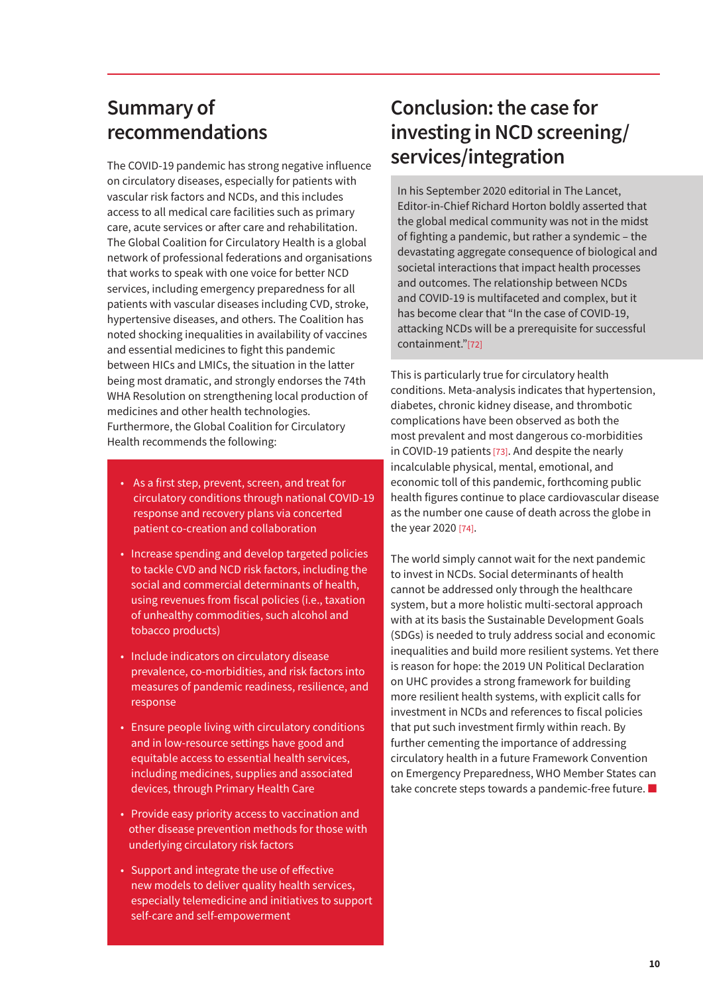# **Summary of recommendations**

The COVID-19 pandemic has strong negative influence on circulatory diseases, especially for patients with vascular risk factors and NCDs, and this includes access to all medical care facilities such as primary care, acute services or after care and rehabilitation. The Global Coalition for Circulatory Health is a global network of professional federations and organisations that works to speak with one voice for better NCD services, including emergency preparedness for all patients with vascular diseases including CVD, stroke, hypertensive diseases, and others. The Coalition has noted shocking inequalities in availability of vaccines and essential medicines to fight this pandemic between HICs and LMICs, the situation in the latter being most dramatic, and strongly endorses the 74th WHA Resolution on strengthening local production of medicines and other health technologies. Furthermore, the Global Coalition for Circulatory Health recommends the following:

- As a first step, prevent, screen, and treat for circulatory conditions through national COVID-19 response and recovery plans via concerted patient co-creation and collaboration
- Increase spending and develop targeted policies to tackle CVD and NCD risk factors, including the social and commercial determinants of health, using revenues from fiscal policies (i.e., taxation of unhealthy commodities, such alcohol and tobacco products)
- Include indicators on circulatory disease prevalence, co-morbidities, and risk factors into measures of pandemic readiness, resilience, and response
- Ensure people living with circulatory conditions and in low-resource settings have good and equitable access to essential health services, including medicines, supplies and associated devices, through Primary Health Care
- Provide easy priority access to vaccination and other disease prevention methods for those with underlying circulatory risk factors
- Support and integrate the use of effective new models to deliver quality health services, especially telemedicine and initiatives to support self-care and self-empowerment

# **Conclusion: the case for investing in NCD screening/ services/integration**

In his September 2020 editorial in The Lancet, Editor-in-Chief Richard Horton boldly asserted that the global medical community was not in the midst of fighting a pandemic, but rather a syndemic – the devastating aggregate consequence of biological and societal interactions that impact health processes and outcomes. The relationship between NCDs and COVID-19 is multifaceted and complex, but it has become clear that "In the case of COVID-19, attacking NCDs will be a prerequisite for successful containment."[72]

This is particularly true for circulatory health conditions. Meta-analysis indicates that hypertension, diabetes, chronic kidney disease, and thrombotic complications have been observed as both the most prevalent and most dangerous co-morbidities in COVID-19 patients [73]. And despite the nearly incalculable physical, mental, emotional, and economic toll of this pandemic, forthcoming public health figures continue to place cardiovascular disease as the number one cause of death across the globe in the year 2020 [74].

The world simply cannot wait for the next pandemic to invest in NCDs. Social determinants of health cannot be addressed only through the healthcare system, but a more holistic multi-sectoral approach with at its basis the Sustainable Development Goals (SDGs) is needed to truly address social and economic inequalities and build more resilient systems. Yet there is reason for hope: the 2019 UN Political Declaration on UHC provides a strong framework for building more resilient health systems, with explicit calls for investment in NCDs and references to fiscal policies that put such investment firmly within reach. By further cementing the importance of addressing circulatory health in a future Framework Convention on Emergency Preparedness, WHO Member States can take concrete steps towards a pandemic-free future. ■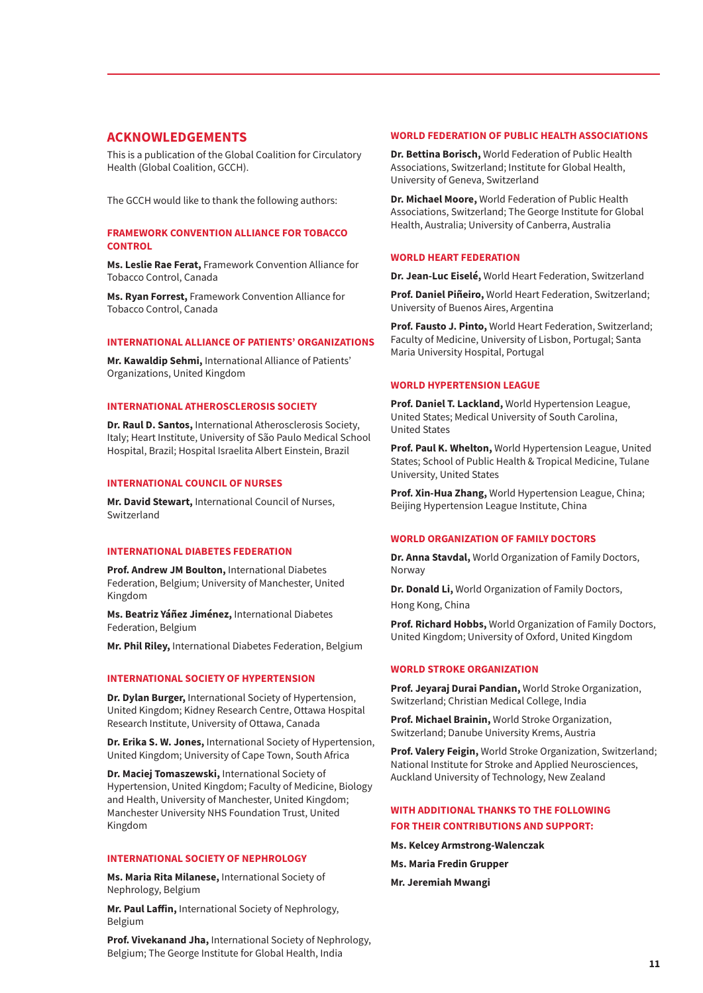#### **ACKNOWLEDGEMENTS**

This is a publication of the Global Coalition for Circulatory Health (Global Coalition, GCCH).

The GCCH would like to thank the following authors:

#### **FRAMEWORK CONVENTION ALLIANCE FOR TOBACCO CONTROL**

**Ms. Leslie Rae Ferat,** Framework Convention Alliance for Tobacco Control, Canada

**Ms. Ryan Forrest,** Framework Convention Alliance for Tobacco Control, Canada

#### **INTERNATIONAL ALLIANCE OF PATIENTS' ORGANIZATIONS**

**Mr. Kawaldip Sehmi,** International Alliance of Patients' Organizations, United Kingdom

#### **INTERNATIONAL ATHEROSCLEROSIS SOCIETY**

**Dr. Raul D. Santos,** International Atherosclerosis Society, Italy; Heart Institute, University of São Paulo Medical School Hospital, Brazil; Hospital Israelita Albert Einstein, Brazil

#### **INTERNATIONAL COUNCIL OF NURSES**

**Mr. David Stewart,** International Council of Nurses, Switzerland

#### **INTERNATIONAL DIABETES FEDERATION**

**Prof. Andrew JM Boulton,** International Diabetes Federation, Belgium; University of Manchester, United Kingdom

**Ms. Beatriz Yáñez Jiménez,** International Diabetes Federation, Belgium

**Mr. Phil Riley,** International Diabetes Federation, Belgium

#### **INTERNATIONAL SOCIETY OF HYPERTENSION**

**Dr. Dylan Burger,** International Society of Hypertension, United Kingdom; Kidney Research Centre, Ottawa Hospital Research Institute, University of Ottawa, Canada

**Dr. Erika S. W. Jones,** International Society of Hypertension, United Kingdom; University of Cape Town, South Africa

**Dr. Maciej Tomaszewski,** International Society of Hypertension, United Kingdom; Faculty of Medicine, Biology and Health, University of Manchester, United Kingdom; Manchester University NHS Foundation Trust, United Kingdom

#### **INTERNATIONAL SOCIETY OF NEPHROLOGY**

**Ms. Maria Rita Milanese,** International Society of Nephrology, Belgium

**Mr. Paul Laffin,** International Society of Nephrology, Belgium

**Prof. Vivekanand Jha,** International Society of Nephrology, Belgium; The George Institute for Global Health, India

#### **WORLD FEDERATION OF PUBLIC HEALTH ASSOCIATIONS**

**Dr. Bettina Borisch,** World Federation of Public Health Associations, Switzerland; Institute for Global Health, University of Geneva, Switzerland

**Dr. Michael Moore,** World Federation of Public Health Associations, Switzerland; The George Institute for Global Health, Australia; University of Canberra, Australia

#### **WORLD HEART FEDERATION**

**Dr. Jean-Luc Eiselé,** World Heart Federation, Switzerland

**Prof. Daniel Piñeiro,** World Heart Federation, Switzerland; University of Buenos Aires, Argentina

**Prof. Fausto J. Pinto,** World Heart Federation, Switzerland; Faculty of Medicine, University of Lisbon, Portugal; Santa Maria University Hospital, Portugal

#### **WORLD HYPERTENSION LEAGUE**

**Prof. Daniel T. Lackland,** World Hypertension League, United States; Medical University of South Carolina, United States

**Prof. Paul K. Whelton,** World Hypertension League, United States; School of Public Health & Tropical Medicine, Tulane University, United States

**Prof. Xin-Hua Zhang,** World Hypertension League, China; Beijing Hypertension League Institute, China

#### **WORLD ORGANIZATION OF FAMILY DOCTORS**

**Dr. Anna Stavdal,** World Organization of Family Doctors, Norway

**Dr. Donald Li,** World Organization of Family Doctors,

Hong Kong, China

**Prof. Richard Hobbs,** World Organization of Family Doctors, United Kingdom; University of Oxford, United Kingdom

#### **WORLD STROKE ORGANIZATION**

**Prof. Jeyaraj Durai Pandian,** World Stroke Organization, Switzerland; Christian Medical College, India

**Prof. Michael Brainin,** World Stroke Organization, Switzerland; Danube University Krems, Austria

**Prof. Valery Feigin,** World Stroke Organization, Switzerland; National Institute for Stroke and Applied Neurosciences, Auckland University of Technology, New Zealand

#### **WITH ADDITIONAL THANKS TO THE FOLLOWING**

#### **FOR THEIR CONTRIBUTIONS AND SUPPORT:**

- **Ms. Kelcey Armstrong-Walenczak**
- **Ms. Maria Fredin Grupper**
- **Mr. Jeremiah Mwangi**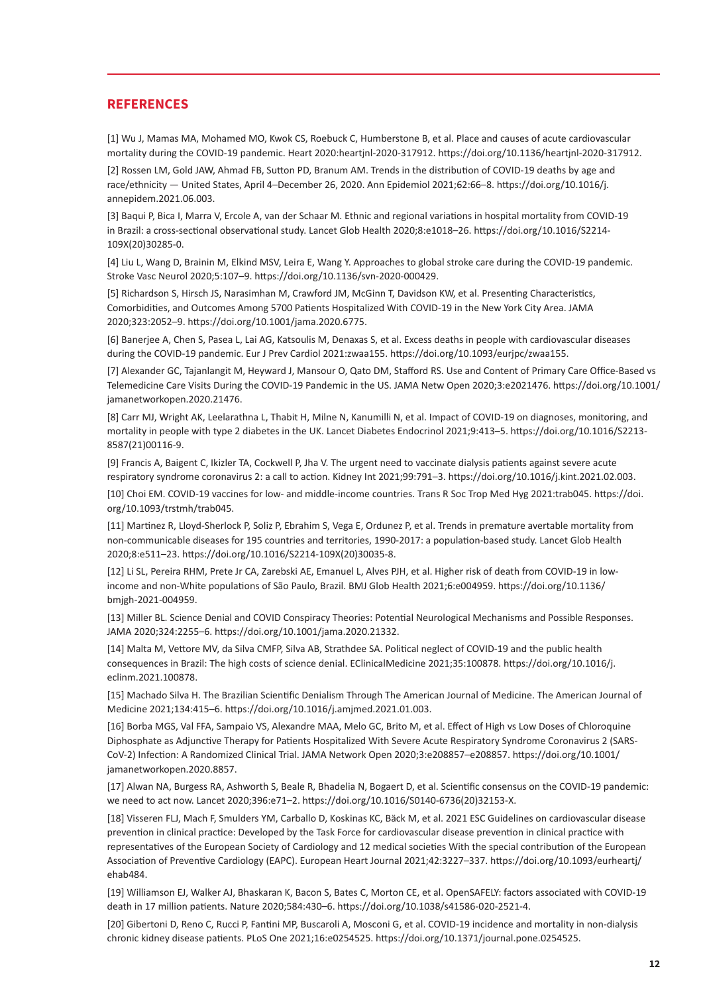#### **REFERENCES**

[1] Wu J, Mamas MA, Mohamed MO, Kwok CS, Roebuck C, Humberstone B, et al. Place and causes of acute cardiovascular mortality during the COVID-19 pandemic. Heart 2020:heartjnl-2020-317912. https://doi.org/10.1136/heartjnl-2020-317912.

[2] Rossen LM, Gold JAW, Ahmad FB, Sutton PD, Branum AM. Trends in the distribution of COVID-19 deaths by age and race/ethnicity — United States, April 4–December 26, 2020. Ann Epidemiol 2021;62:66–8. https://doi.org/10.1016/j. annepidem.2021.06.003.

[3] Baqui P, Bica I, Marra V, Ercole A, van der Schaar M. Ethnic and regional variations in hospital mortality from COVID-19 in Brazil: a cross-sectional observational study. Lancet Glob Health 2020;8:e1018–26. https://doi.org/10.1016/S2214- 109X(20)30285-0.

[4] Liu L, Wang D, Brainin M, Elkind MSV, Leira E, Wang Y. Approaches to global stroke care during the COVID-19 pandemic. Stroke Vasc Neurol 2020;5:107–9. https://doi.org/10.1136/svn-2020-000429.

[5] Richardson S, Hirsch JS, Narasimhan M, Crawford JM, McGinn T, Davidson KW, et al. Presenting Characteristics, Comorbidities, and Outcomes Among 5700 Patients Hospitalized With COVID-19 in the New York City Area. JAMA 2020;323:2052–9. https://doi.org/10.1001/jama.2020.6775.

[6] Banerjee A, Chen S, Pasea L, Lai AG, Katsoulis M, Denaxas S, et al. Excess deaths in people with cardiovascular diseases during the COVID-19 pandemic. Eur J Prev Cardiol 2021:zwaa155. https://doi.org/10.1093/eurjpc/zwaa155.

[7] Alexander GC, Tajanlangit M, Heyward J, Mansour O, Qato DM, Stafford RS. Use and Content of Primary Care Office-Based vs Telemedicine Care Visits During the COVID-19 Pandemic in the US. JAMA Netw Open 2020;3:e2021476. https://doi.org/10.1001/ jamanetworkopen.2020.21476.

[8] Carr MJ, Wright AK, Leelarathna L, Thabit H, Milne N, Kanumilli N, et al. Impact of COVID-19 on diagnoses, monitoring, and mortality in people with type 2 diabetes in the UK. Lancet Diabetes Endocrinol 2021;9:413–5. https://doi.org/10.1016/S2213- 8587(21)00116-9.

[9] Francis A, Baigent C, Ikizler TA, Cockwell P, Jha V. The urgent need to vaccinate dialysis patients against severe acute respiratory syndrome coronavirus 2: a call to action. Kidney Int 2021;99:791–3. https://doi.org/10.1016/j.kint.2021.02.003.

[10] Choi EM. COVID-19 vaccines for low- and middle-income countries. Trans R Soc Trop Med Hyg 2021:trab045. https://doi. org/10.1093/trstmh/trab045.

[11] Martinez R, Lloyd-Sherlock P, Soliz P, Ebrahim S, Vega E, Ordunez P, et al. Trends in premature avertable mortality from non-communicable diseases for 195 countries and territories, 1990-2017: a population-based study. Lancet Glob Health 2020;8:e511–23. https://doi.org/10.1016/S2214-109X(20)30035-8.

[12] Li SL, Pereira RHM, Prete Jr CA, Zarebski AE, Emanuel L, Alves PJH, et al. Higher risk of death from COVID-19 in lowincome and non-White populations of São Paulo, Brazil. BMJ Glob Health 2021;6:e004959. https://doi.org/10.1136/ bmjgh-2021-004959.

[13] Miller BL. Science Denial and COVID Conspiracy Theories: Potential Neurological Mechanisms and Possible Responses. JAMA 2020;324:2255–6. https://doi.org/10.1001/jama.2020.21332.

[14] Malta M, Vettore MV, da Silva CMFP, Silva AB, Strathdee SA. Political neglect of COVID-19 and the public health consequences in Brazil: The high costs of science denial. EClinicalMedicine 2021;35:100878. https://doi.org/10.1016/j. eclinm.2021.100878.

[15] Machado Silva H. The Brazilian Scientific Denialism Through The American Journal of Medicine. The American Journal of Medicine 2021;134:415–6. https://doi.org/10.1016/j.amjmed.2021.01.003.

[16] Borba MGS, Val FFA, Sampaio VS, Alexandre MAA, Melo GC, Brito M, et al. Effect of High vs Low Doses of Chloroquine Diphosphate as Adjunctive Therapy for Patients Hospitalized With Severe Acute Respiratory Syndrome Coronavirus 2 (SARS-CoV-2) Infection: A Randomized Clinical Trial. JAMA Network Open 2020;3:e208857–e208857. https://doi.org/10.1001/ jamanetworkopen.2020.8857.

[17] Alwan NA, Burgess RA, Ashworth S, Beale R, Bhadelia N, Bogaert D, et al. Scientific consensus on the COVID-19 pandemic: we need to act now. Lancet 2020;396:e71–2. https://doi.org/10.1016/S0140-6736(20)32153-X.

[18] Visseren FLJ, Mach F, Smulders YM, Carballo D, Koskinas KC, Bäck M, et al. 2021 ESC Guidelines on cardiovascular disease prevention in clinical practice: Developed by the Task Force for cardiovascular disease prevention in clinical practice with representatives of the European Society of Cardiology and 12 medical societies With the special contribution of the European Association of Preventive Cardiology (EAPC). European Heart Journal 2021;42:3227–337. https://doi.org/10.1093/eurheartj/ ehab484.

[19] Williamson EJ, Walker AJ, Bhaskaran K, Bacon S, Bates C, Morton CE, et al. OpenSAFELY: factors associated with COVID-19 death in 17 million patients. Nature 2020;584:430–6. https://doi.org/10.1038/s41586-020-2521-4.

[20] Gibertoni D, Reno C, Rucci P, Fantini MP, Buscaroli A, Mosconi G, et al. COVID-19 incidence and mortality in non-dialysis chronic kidney disease patients. PLoS One 2021;16:e0254525. https://doi.org/10.1371/journal.pone.0254525.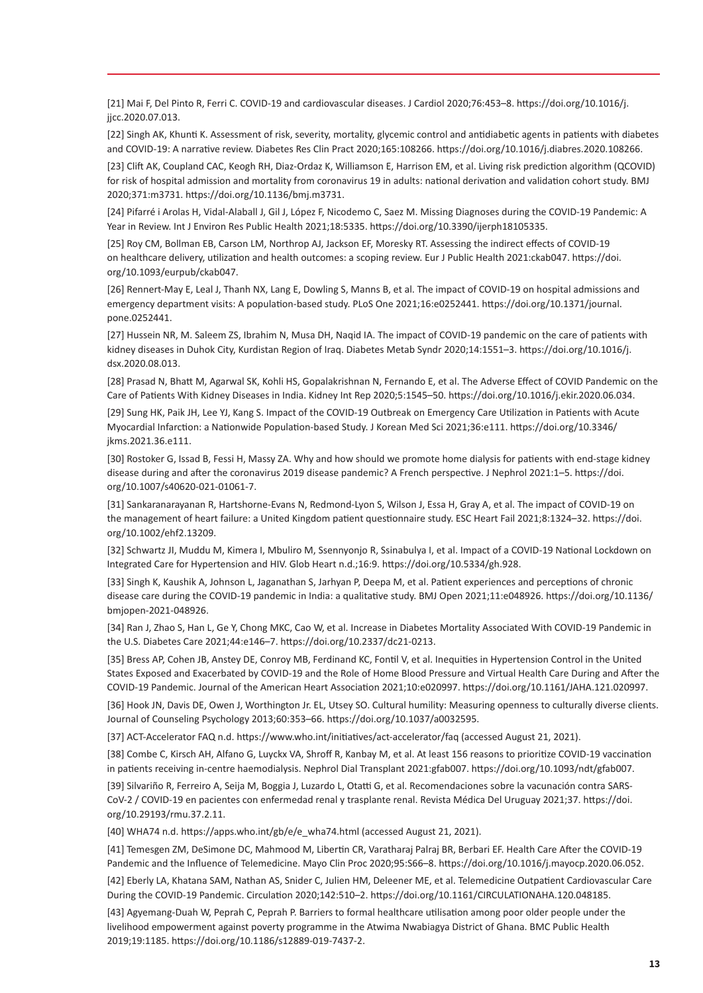[21] Mai F, Del Pinto R, Ferri C. COVID-19 and cardiovascular diseases. J Cardiol 2020;76:453–8. https://doi.org/10.1016/j. jjcc.2020.07.013.

[22] Singh AK, Khunti K. Assessment of risk, severity, mortality, glycemic control and antidiabetic agents in patients with diabetes and COVID-19: A narrative review. Diabetes Res Clin Pract 2020;165:108266. https://doi.org/10.1016/j.diabres.2020.108266.

[23] Clift AK, Coupland CAC, Keogh RH, Diaz-Ordaz K, Williamson E, Harrison EM, et al. Living risk prediction algorithm (QCOVID) for risk of hospital admission and mortality from coronavirus 19 in adults: national derivation and validation cohort study. BMJ 2020;371:m3731. https://doi.org/10.1136/bmj.m3731.

[24] Pifarré i Arolas H, Vidal-Alaball J, Gil J, López F, Nicodemo C, Saez M. Missing Diagnoses during the COVID-19 Pandemic: A Year in Review. Int J Environ Res Public Health 2021;18:5335. https://doi.org/10.3390/ijerph18105335.

[25] Roy CM, Bollman EB, Carson LM, Northrop AJ, Jackson EF, Moresky RT. Assessing the indirect effects of COVID-19 on healthcare delivery, utilization and health outcomes: a scoping review. Eur J Public Health 2021:ckab047. https://doi. org/10.1093/eurpub/ckab047.

[26] Rennert-May E, Leal J, Thanh NX, Lang E, Dowling S, Manns B, et al. The impact of COVID-19 on hospital admissions and emergency department visits: A population-based study. PLoS One 2021;16:e0252441. https://doi.org/10.1371/journal. pone.0252441.

[27] Hussein NR, M. Saleem ZS, Ibrahim N, Musa DH, Naqid IA. The impact of COVID-19 pandemic on the care of patients with kidney diseases in Duhok City, Kurdistan Region of Iraq. Diabetes Metab Syndr 2020;14:1551–3. https://doi.org/10.1016/j. dsx.2020.08.013.

[28] Prasad N, Bhatt M, Agarwal SK, Kohli HS, Gopalakrishnan N, Fernando E, et al. The Adverse Effect of COVID Pandemic on the Care of Patients With Kidney Diseases in India. Kidney Int Rep 2020;5:1545–50. https://doi.org/10.1016/j.ekir.2020.06.034.

[29] Sung HK, Paik JH, Lee YJ, Kang S. Impact of the COVID-19 Outbreak on Emergency Care Utilization in Patients with Acute Myocardial Infarction: a Nationwide Population-based Study. J Korean Med Sci 2021;36:e111. https://doi.org/10.3346/ jkms.2021.36.e111.

[30] Rostoker G, Issad B, Fessi H, Massy ZA. Why and how should we promote home dialysis for patients with end-stage kidney disease during and after the coronavirus 2019 disease pandemic? A French perspective. J Nephrol 2021:1–5. https://doi. org/10.1007/s40620-021-01061-7.

[31] Sankaranarayanan R, Hartshorne‐Evans N, Redmond‐Lyon S, Wilson J, Essa H, Gray A, et al. The impact of COVID‐19 on the management of heart failure: a United Kingdom patient questionnaire study. ESC Heart Fail 2021;8:1324–32. https://doi. org/10.1002/ehf2.13209.

[32] Schwartz JI, Muddu M, Kimera I, Mbuliro M, Ssennyonjo R, Ssinabulya I, et al. Impact of a COVID-19 National Lockdown on Integrated Care for Hypertension and HIV. Glob Heart n.d.;16:9. https://doi.org/10.5334/gh.928.

[33] Singh K, Kaushik A, Johnson L, Jaganathan S, Jarhyan P, Deepa M, et al. Patient experiences and perceptions of chronic disease care during the COVID-19 pandemic in India: a qualitative study. BMJ Open 2021;11:e048926. https://doi.org/10.1136/ bmjopen-2021-048926.

[34] Ran J, Zhao S, Han L, Ge Y, Chong MKC, Cao W, et al. Increase in Diabetes Mortality Associated With COVID-19 Pandemic in the U.S. Diabetes Care 2021;44:e146–7. https://doi.org/10.2337/dc21-0213.

[35] Bress AP, Cohen JB, Anstey DE, Conroy MB, Ferdinand KC, Fontil V, et al. Inequities in Hypertension Control in the United States Exposed and Exacerbated by COVID‐19 and the Role of Home Blood Pressure and Virtual Health Care During and After the COVID‐19 Pandemic. Journal of the American Heart Association 2021;10:e020997. https://doi.org/10.1161/JAHA.121.020997.

[36] Hook JN, Davis DE, Owen J, Worthington Jr. EL, Utsey SO, Cultural humility: Measuring openness to culturally diverse clients. Journal of Counseling Psychology 2013;60:353–66. https://doi.org/10.1037/a0032595.

[37] ACT-Accelerator FAQ n.d. https://www.who.int/initiatives/act-accelerator/faq (accessed August 21, 2021).

[38] Combe C, Kirsch AH, Alfano G, Luyckx VA, Shroff R, Kanbay M, et al. At least 156 reasons to prioritize COVID-19 vaccination in patients receiving in-centre haemodialysis. Nephrol Dial Transplant 2021:gfab007. https://doi.org/10.1093/ndt/gfab007.

[39] Silvariño R, Ferreiro A, Seija M, Boggia J, Luzardo L, Otatti G, et al. Recomendaciones sobre la vacunación contra SARS-CoV-2 / COVID-19 en pacientes con enfermedad renal y trasplante renal. Revista Médica Del Uruguay 2021;37. https://doi. org/10.29193/rmu.37.2.11.

[40] WHA74 n.d. https://apps.who.int/gb/e/e\_wha74.html (accessed August 21, 2021).

[41] Temesgen ZM, DeSimone DC, Mahmood M, Libertin CR, Varatharaj Palraj BR, Berbari EF. Health Care After the COVID-19 Pandemic and the Influence of Telemedicine. Mayo Clin Proc 2020;95:S66–8. https://doi.org/10.1016/j.mayocp.2020.06.052.

[42] Eberly LA, Khatana SAM, Nathan AS, Snider C, Julien HM, Deleener ME, et al. Telemedicine Outpatient Cardiovascular Care During the COVID-19 Pandemic. Circulation 2020;142:510–2. https://doi.org/10.1161/CIRCULATIONAHA.120.048185.

[43] Agyemang-Duah W, Peprah C, Peprah P. Barriers to formal healthcare utilisation among poor older people under the livelihood empowerment against poverty programme in the Atwima Nwabiagya District of Ghana. BMC Public Health 2019;19:1185. https://doi.org/10.1186/s12889-019-7437-2.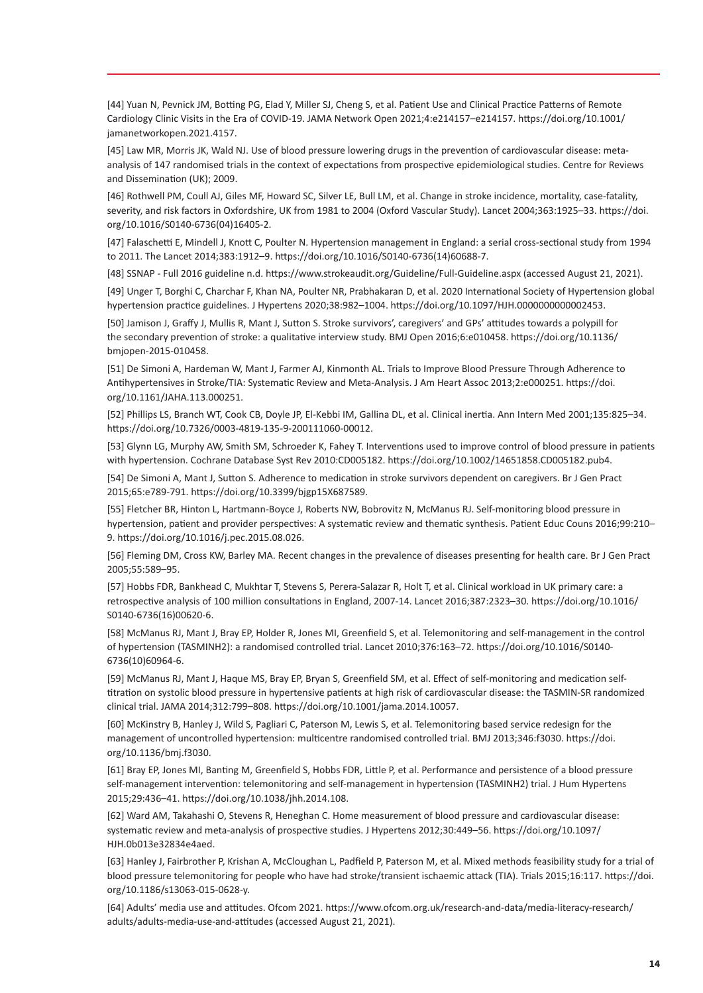[44] Yuan N, Pevnick JM, Botting PG, Elad Y, Miller SJ, Cheng S, et al. Patient Use and Clinical Practice Patterns of Remote Cardiology Clinic Visits in the Era of COVID-19. JAMA Network Open 2021;4:e214157–e214157. https://doi.org/10.1001/ jamanetworkopen.2021.4157.

[45] Law MR, Morris JK, Wald NJ. Use of blood pressure lowering drugs in the prevention of cardiovascular disease: metaanalysis of 147 randomised trials in the context of expectations from prospective epidemiological studies. Centre for Reviews and Dissemination (UK); 2009.

[46] Rothwell PM, Coull AJ, Giles MF, Howard SC, Silver LE, Bull LM, et al. Change in stroke incidence, mortality, case-fatality, severity, and risk factors in Oxfordshire, UK from 1981 to 2004 (Oxford Vascular Study). Lancet 2004;363:1925–33. https://doi. org/10.1016/S0140-6736(04)16405-2.

[47] Falaschetti E, Mindell J, Knott C, Poulter N. Hypertension management in England: a serial cross-sectional study from 1994 to 2011. The Lancet 2014;383:1912–9. https://doi.org/10.1016/S0140-6736(14)60688-7.

[48] SSNAP - Full 2016 guideline n.d. https://www.strokeaudit.org/Guideline/Full-Guideline.aspx (accessed August 21, 2021).

[49] Unger T, Borghi C, Charchar F, Khan NA, Poulter NR, Prabhakaran D, et al. 2020 International Society of Hypertension global hypertension practice guidelines. J Hypertens 2020;38:982–1004. https://doi.org/10.1097/HJH.0000000000002453.

[50] Jamison J, Graffy J, Mullis R, Mant J, Sutton S. Stroke survivors', caregivers' and GPs' attitudes towards a polypill for the secondary prevention of stroke: a qualitative interview study. BMJ Open 2016;6:e010458. https://doi.org/10.1136/ bmjopen-2015-010458.

[51] De Simoni A, Hardeman W, Mant J, Farmer AJ, Kinmonth AL. Trials to Improve Blood Pressure Through Adherence to Antihypertensives in Stroke/TIA: Systematic Review and Meta‐Analysis. J Am Heart Assoc 2013;2:e000251. https://doi. org/10.1161/JAHA.113.000251.

[52] Phillips LS, Branch WT, Cook CB, Doyle JP, El-Kebbi IM, Gallina DL, et al. Clinical inertia. Ann Intern Med 2001;135:825–34. https://doi.org/10.7326/0003-4819-135-9-200111060-00012.

[53] Glynn LG, Murphy AW, Smith SM, Schroeder K, Fahey T. Interventions used to improve control of blood pressure in patients with hypertension. Cochrane Database Syst Rev 2010:CD005182. https://doi.org/10.1002/14651858.CD005182.pub4.

[54] De Simoni A, Mant J, Sutton S. Adherence to medication in stroke survivors dependent on caregivers. Br J Gen Pract 2015;65:e789-791. https://doi.org/10.3399/bjgp15X687589.

[55] Fletcher BR, Hinton L, Hartmann-Boyce J, Roberts NW, Bobrovitz N, McManus RJ. Self-monitoring blood pressure in hypertension, patient and provider perspectives: A systematic review and thematic synthesis. Patient Educ Couns 2016;99:210– 9. https://doi.org/10.1016/j.pec.2015.08.026.

[56] Fleming DM, Cross KW, Barley MA. Recent changes in the prevalence of diseases presenting for health care. Br J Gen Pract 2005;55:589–95.

[57] Hobbs FDR, Bankhead C, Mukhtar T, Stevens S, Perera-Salazar R, Holt T, et al. Clinical workload in UK primary care: a retrospective analysis of 100 million consultations in England, 2007-14. Lancet 2016;387:2323–30. https://doi.org/10.1016/ S0140-6736(16)00620-6.

[58] McManus RJ, Mant J, Bray EP, Holder R, Jones MI, Greenfield S, et al. Telemonitoring and self-management in the control of hypertension (TASMINH2): a randomised controlled trial. Lancet 2010;376:163–72. https://doi.org/10.1016/S0140- 6736(10)60964-6.

[59] McManus RJ, Mant J, Haque MS, Bray EP, Bryan S, Greenfield SM, et al. Effect of self-monitoring and medication selftitration on systolic blood pressure in hypertensive patients at high risk of cardiovascular disease: the TASMIN-SR randomized clinical trial. JAMA 2014;312:799–808. https://doi.org/10.1001/jama.2014.10057.

[60] McKinstry B, Hanley J, Wild S, Pagliari C, Paterson M, Lewis S, et al. Telemonitoring based service redesign for the management of uncontrolled hypertension: multicentre randomised controlled trial. BMJ 2013;346:f3030. https://doi. org/10.1136/bmj.f3030.

[61] Bray EP, Jones MI, Banting M, Greenfield S, Hobbs FDR, Little P, et al. Performance and persistence of a blood pressure self-management intervention: telemonitoring and self-management in hypertension (TASMINH2) trial. J Hum Hypertens 2015;29:436–41. https://doi.org/10.1038/jhh.2014.108.

[62] Ward AM, Takahashi O, Stevens R, Heneghan C. Home measurement of blood pressure and cardiovascular disease: systematic review and meta-analysis of prospective studies. J Hypertens 2012;30:449–56. https://doi.org/10.1097/ HJH.0b013e32834e4aed.

[63] Hanley J, Fairbrother P, Krishan A, McCloughan L, Padfield P, Paterson M, et al. Mixed methods feasibility study for a trial of blood pressure telemonitoring for people who have had stroke/transient ischaemic attack (TIA). Trials 2015;16:117. https://doi. org/10.1186/s13063-015-0628-y.

[64] Adults' media use and attitudes. Ofcom 2021. https://www.ofcom.org.uk/research-and-data/media-literacy-research/ adults/adults-media-use-and-attitudes (accessed August 21, 2021).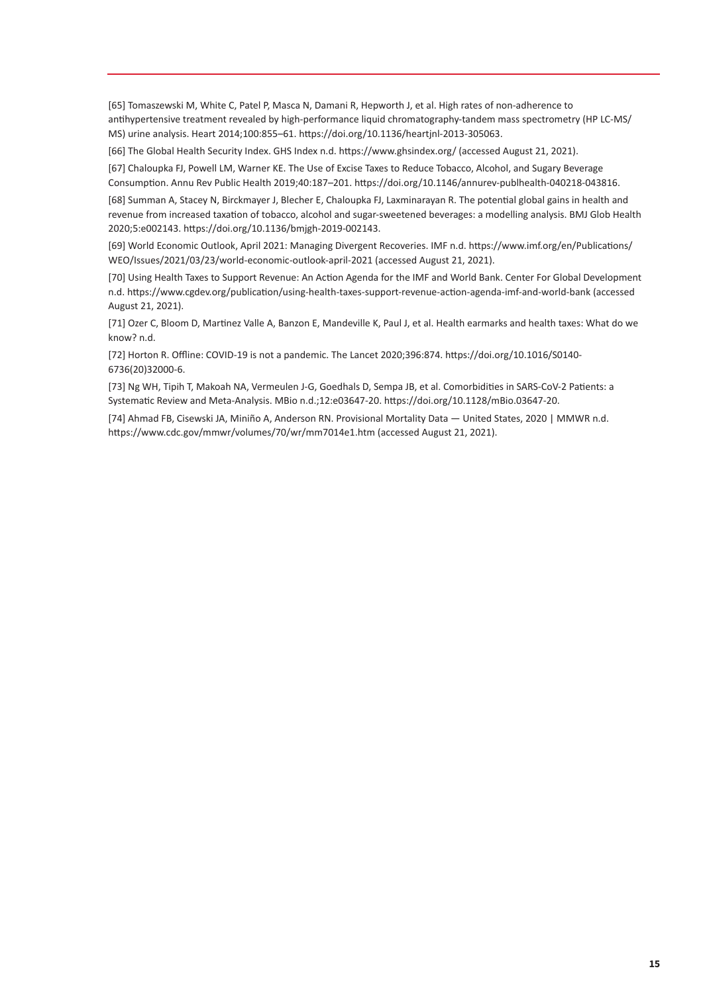[65] Tomaszewski M, White C, Patel P, Masca N, Damani R, Hepworth J, et al. High rates of non-adherence to antihypertensive treatment revealed by high-performance liquid chromatography-tandem mass spectrometry (HP LC-MS/ MS) urine analysis. Heart 2014;100:855–61. https://doi.org/10.1136/heartjnl-2013-305063.

[66] The Global Health Security Index. GHS Index n.d. https://www.ghsindex.org/ (accessed August 21, 2021).

[67] Chaloupka FJ, Powell LM, Warner KE. The Use of Excise Taxes to Reduce Tobacco, Alcohol, and Sugary Beverage Consumption. Annu Rev Public Health 2019;40:187–201. https://doi.org/10.1146/annurev-publhealth-040218-043816.

[68] Summan A, Stacey N, Birckmayer J, Blecher E, Chaloupka FJ, Laxminarayan R. The potential global gains in health and revenue from increased taxation of tobacco, alcohol and sugar-sweetened beverages: a modelling analysis. BMJ Glob Health 2020;5:e002143. https://doi.org/10.1136/bmjgh-2019-002143.

[69] World Economic Outlook, April 2021: Managing Divergent Recoveries. IMF n.d. https://www.imf.org/en/Publications/ WEO/Issues/2021/03/23/world-economic-outlook-april-2021 (accessed August 21, 2021).

[70] Using Health Taxes to Support Revenue: An Action Agenda for the IMF and World Bank. Center For Global Development n.d. https://www.cgdev.org/publication/using-health-taxes-support-revenue-action-agenda-imf-and-world-bank (accessed August 21, 2021).

[71] Ozer C, Bloom D, Martinez Valle A, Banzon E, Mandeville K, Paul J, et al. Health earmarks and health taxes: What do we know? n.d.

[72] Horton R. Offline: COVID-19 is not a pandemic. The Lancet 2020;396:874. https://doi.org/10.1016/S0140- 6736(20)32000-6.

[73] Ng WH, Tipih T, Makoah NA, Vermeulen J-G, Goedhals D, Sempa JB, et al. Comorbidities in SARS-CoV-2 Patients: a Systematic Review and Meta-Analysis. MBio n.d.;12:e03647-20. https://doi.org/10.1128/mBio.03647-20.

[74] Ahmad FB, Cisewski JA, Miniño A, Anderson RN. Provisional Mortality Data — United States, 2020 | MMWR n.d. https://www.cdc.gov/mmwr/volumes/70/wr/mm7014e1.htm (accessed August 21, 2021).